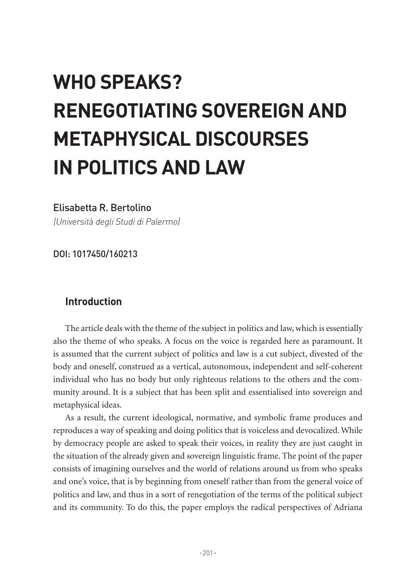# **WHO SPEAKS? RENEGOTIATING SOVEREIGN AND METAPHYSICAL DISCOURSES IN POLITICS AND LAW**

#### Elisabetta R. Bertolino

(Università degli Studi di Palermo)

DOI: 1017450/160213

# **Introduction**

The article deals with the theme of the subject in politics and law, which is essentially also the theme of who speaks. A focus on the voice is regarded here as paramount. It is assumed that the current subject of politics and law is a cut subject, divested of the body and oneself, construed as a vertical, autonomous, independent and self-coherent individual who has no body but only righteous relations to the others and the community around. It is a subject that has been split and essentialised into sovereign and metaphysical ideas.

As a result, the current ideological, normative, and symbolic frame produces and reproduces a way of speaking and doing politics that is voiceless and devocalized. While by democracy people are asked to speak their voices, in reality they are just caught in the situation of the already given and sovereign linguistic frame. The point of the paper consists of imagining ourselves and the world of relations around us from who speaks and one's voice, that is by beginning from oneself rather than from the general voice of politics and law, and thus in a sort of renegotiation of the terms of the political subject and its community. To do this, the paper employs the radical perspectives of Adriana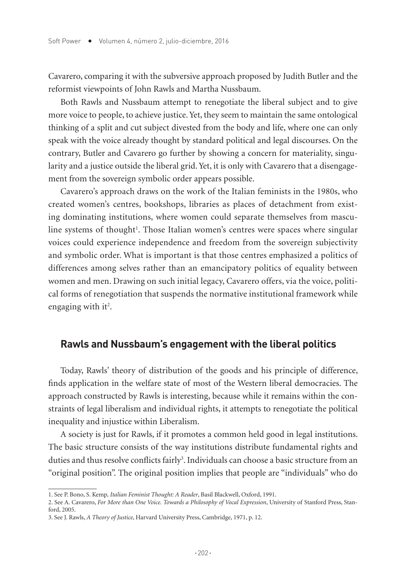Cavarero, comparing it with the subversive approach proposed by Judith Butler and the reformist viewpoints of John Rawls and Martha Nussbaum.

Both Rawls and Nussbaum attempt to renegotiate the liberal subject and to give more voice to people, to achieve justice. Yet, they seem to maintain the same ontological thinking of a split and cut subject divested from the body and life, where one can only speak with the voice already thought by standard political and legal discourses. On the contrary, Butler and Cavarero go further by showing a concern for materiality, singularity and a justice outside the liberal grid. Yet, it is only with Cavarero that a disengagement from the sovereign symbolic order appears possible.

Cavarero's approach draws on the work of the Italian feminists in the 1980s, who created women's centres, bookshops, libraries as places of detachment from existing dominating institutions, where women could separate themselves from masculine systems of thought<sup>1</sup>. Those Italian women's centres were spaces where singular voices could experience independence and freedom from the sovereign subjectivity and symbolic order. What is important is that those centres emphasized a politics of differences among selves rather than an emancipatory politics of equality between women and men. Drawing on such initial legacy, Cavarero offers, via the voice, political forms of renegotiation that suspends the normative institutional framework while engaging with it<sup>2</sup>.

## **Rawls and Nussbaum's engagement with the liberal politics**

Today, Rawls' theory of distribution of the goods and his principle of difference, finds application in the welfare state of most of the Western liberal democracies. The approach constructed by Rawls is interesting, because while it remains within the constraints of legal liberalism and individual rights, it attempts to renegotiate the political inequality and injustice within Liberalism.

A society is just for Rawls, if it promotes a common held good in legal institutions. The basic structure consists of the way institutions distribute fundamental rights and duties and thus resolve conflicts fairly<sup>3</sup>. Individuals can choose a basic structure from an "original position". The original position implies that people are "individuals" who do

<sup>1.</sup> See P. Bono, S. Kemp*, Italian Feminist Thought: A Reader*, Basil Blackwell, Oxford, 1991.

<sup>2.</sup> See A. Cavarero, *For More than One Voice. Towards a Philosophy of Vocal Expression*, University of Stanford Press, Stanford, 2005.

<sup>3.</sup> See J. Rawls, *A Theory of Justice*, Harvard University Press, Cambridge, 1971, p. 12.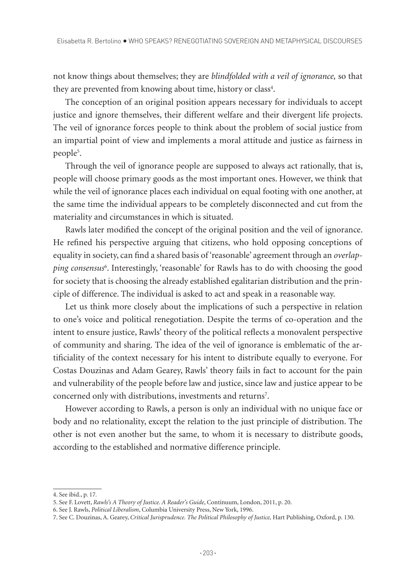not know things about themselves; they are *blindfolded with a veil of ignorance,* so that they are prevented from knowing about time, history or class<sup>4</sup>.

The conception of an original position appears necessary for individuals to accept justice and ignore themselves, their different welfare and their divergent life projects. The veil of ignorance forces people to think about the problem of social justice from an impartial point of view and implements a moral attitude and justice as fairness in people5 .

Through the veil of ignorance people are supposed to always act rationally, that is, people will choose primary goods as the most important ones. However, we think that while the veil of ignorance places each individual on equal footing with one another, at the same time the individual appears to be completely disconnected and cut from the materiality and circumstances in which is situated.

Rawls later modified the concept of the original position and the veil of ignorance. He refined his perspective arguing that citizens, who hold opposing conceptions of equality in society, can find a shared basis of 'reasonable' agreement through an *overlapping consensus*<sup>6</sup> . Interestingly, 'reasonable' for Rawls has to do with choosing the good for society that is choosing the already established egalitarian distribution and the principle of difference. The individual is asked to act and speak in a reasonable way.

Let us think more closely about the implications of such a perspective in relation to one's voice and political renegotiation. Despite the terms of co-operation and the intent to ensure justice, Rawls' theory of the political reflects a monovalent perspective of community and sharing. The idea of the veil of ignorance is emblematic of the artificiality of the context necessary for his intent to distribute equally to everyone. For Costas Douzinas and Adam Gearey, Rawls' theory fails in fact to account for the pain and vulnerability of the people before law and justice, since law and justice appear to be concerned only with distributions, investments and returns<sup>7</sup>.

However according to Rawls, a person is only an individual with no unique face or body and no relationality, except the relation to the just principle of distribution. The other is not even another but the same, to whom it is necessary to distribute goods, according to the established and normative difference principle.

<sup>4.</sup> See ibid., p. 17*.*

<sup>5.</sup> See F. Lovett, *Rawls's A Theory of Justice. A Reader's Guide*, Continuum, London, 2011, p. 20.

<sup>6.</sup> See J. Rawls, *Political Liberalism*, Columbia University Press, New York, 1996.

<sup>7.</sup> See C. Douzinas, A. Gearey, *Critical Jurisprudence. The Political Philosophy of Justice,* Hart Publishing, Oxford, p. 130.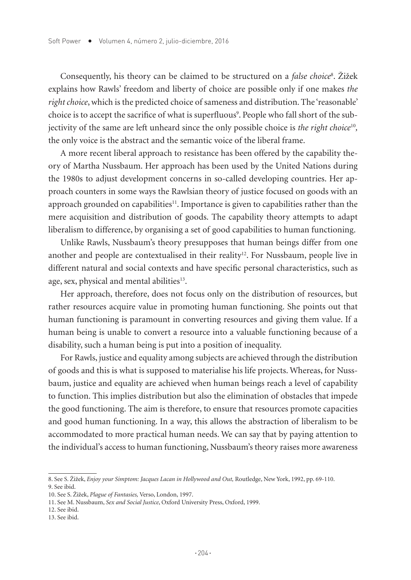Consequently, his theory can be claimed to be structured on a *false choice*<sup>8</sup> . Žižek explains how Rawls' freedom and liberty of choice are possible only if one makes *the right choice*, which is the predicted choice of sameness and distribution. The 'reasonable' choice is to accept the sacrifice of what is superfluous<sup>9</sup>. People who fall short of the subjectivity of the same are left unheard since the only possible choice is *the right choice*<sup>10</sup>*,*  the only voice is the abstract and the semantic voice of the liberal frame.

A more recent liberal approach to resistance has been offered by the capability theory of Martha Nussbaum. Her approach has been used by the United Nations during the 1980s to adjust development concerns in so-called developing countries. Her approach counters in some ways the Rawlsian theory of justice focused on goods with an approach grounded on capabilities<sup>11</sup>. Importance is given to capabilities rather than the mere acquisition and distribution of goods. The capability theory attempts to adapt liberalism to difference, by organising a set of good capabilities to human functioning.

Unlike Rawls, Nussbaum's theory presupposes that human beings differ from one another and people are contextualised in their reality<sup>12</sup>. For Nussbaum, people live in different natural and social contexts and have specific personal characteristics, such as age, sex, physical and mental abilities<sup>13</sup>.

Her approach, therefore, does not focus only on the distribution of resources, but rather resources acquire value in promoting human functioning. She points out that human functioning is paramount in converting resources and giving them value. If a human being is unable to convert a resource into a valuable functioning because of a disability, such a human being is put into a position of inequality.

For Rawls, justice and equality among subjects are achieved through the distribution of goods and this is what is supposed to materialise his life projects. Whereas, for Nussbaum, justice and equality are achieved when human beings reach a level of capability to function. This implies distribution but also the elimination of obstacles that impede the good functioning. The aim is therefore, to ensure that resources promote capacities and good human functioning. In a way, this allows the abstraction of liberalism to be accommodated to more practical human needs. We can say that by paying attention to the individual's access to human functioning, Nussbaum's theory raises more awareness

<sup>8.</sup> See S. Žižek, *Enjoy your Simptom: Jacques Lacan in Hollywood and Out,* Routledge, New York, 1992, pp. 69-110. 9. See ibid.

<sup>10.</sup> See S. Žižek, *Plague of Fantasies,* Verso, London, 1997.

<sup>11.</sup> See M. Nussbaum, *Sex and Social Justice*, Oxford University Press, Oxford, 1999.

<sup>12.</sup> See ibid.

<sup>13.</sup> See ibid.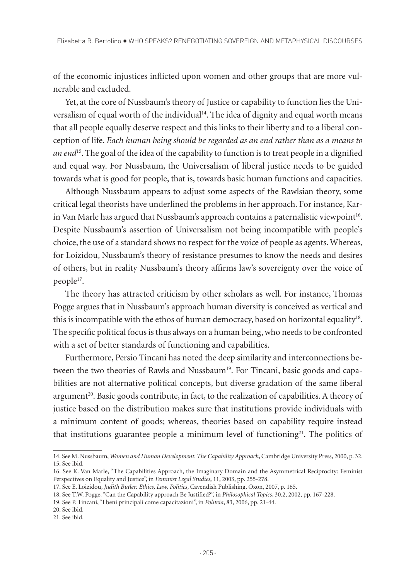of the economic injustices inflicted upon women and other groups that are more vulnerable and excluded.

Yet, at the core of Nussbaum's theory of Justice or capability to function lies the Universalism of equal worth of the individual14. The idea of dignity and equal worth means that all people equally deserve respect and this links to their liberty and to a liberal conception of life. *Each human being should be regarded as an end rather than as a means to an end*15. The goal of the idea of the capability to function is to treat people in a dignified and equal way. For Nussbaum, the Universalism of liberal justice needs to be guided towards what is good for people, that is, towards basic human functions and capacities.

Although Nussbaum appears to adjust some aspects of the Rawlsian theory, some critical legal theorists have underlined the problems in her approach. For instance, Karin Van Marle has argued that Nussbaum's approach contains a paternalistic viewpoint16. Despite Nussbaum's assertion of Universalism not being incompatible with people's choice, the use of a standard shows no respect for the voice of people as agents. Whereas, for Loizidou, Nussbaum's theory of resistance presumes to know the needs and desires of others, but in reality Nussbaum's theory affirms law's sovereignty over the voice of people<sup>17</sup>.

The theory has attracted criticism by other scholars as well. For instance, Thomas Pogge argues that in Nussbaum's approach human diversity is conceived as vertical and this is incompatible with the ethos of human democracy, based on horizontal equality<sup>18</sup>. The specific political focus is thus always on a human being, who needs to be confronted with a set of better standards of functioning and capabilities.

Furthermore, Persio Tincani has noted the deep similarity and interconnections between the two theories of Rawls and Nussbaum<sup>19</sup>. For Tincani, basic goods and capabilities are not alternative political concepts, but diverse gradation of the same liberal argument<sup>20</sup>. Basic goods contribute, in fact, to the realization of capabilities. A theory of justice based on the distribution makes sure that institutions provide individuals with a minimum content of goods; whereas, theories based on capability require instead that institutions guarantee people a minimum level of functioning<sup>21</sup>. The politics of

<sup>14.</sup> See M. Nussbaum, *Women and Human Development. The Capability Approach*, Cambridge University Press, 2000, p. 32. 15. See ibid.

<sup>16.</sup> See K. Van Marle, "The Capabilities Approach, the Imaginary Domain and the Asymmetrical Reciprocity: Feminist Perspectives on Equality and Justice", in *Feminist Legal Studies*, 11, 2003, pp. 255-278.

<sup>17.</sup> See E. Loizidou, *Judith Butler: Ethics, Law, Politics*, Cavendish Publishing, Oxon, 2007, p. 165.

<sup>18.</sup> See T.W. Pogge, "Can the Capability approach Be Justified?", in *Philosophical Topics*, 30.2, 2002, pp. 167-228.

<sup>19.</sup> See P. Tincani, "I beni principali come capacitazioni", in *Politeia*, 83, 2006, pp. 21-44.

<sup>20.</sup> See ibid.

<sup>21.</sup> See ibid.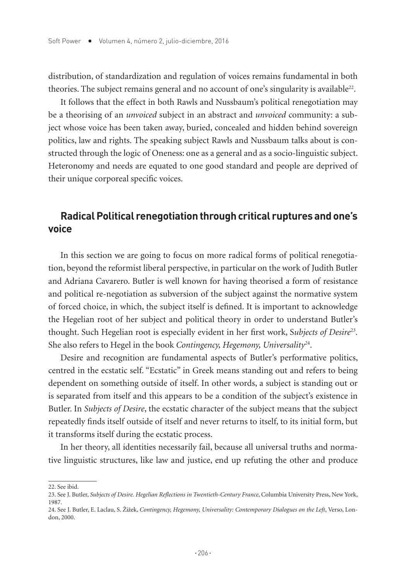distribution, of standardization and regulation of voices remains fundamental in both theories. The subject remains general and no account of one's singularity is available<sup>22</sup>.

It follows that the effect in both Rawls and Nussbaum's political renegotiation may be a theorising of an *unvoiced* subject in an abstract and *unvoiced* community: a subject whose voice has been taken away, buried, concealed and hidden behind sovereign politics, law and rights. The speaking subject Rawls and Nussbaum talks about is constructed through the logic of Oneness: one as a general and as a socio-linguistic subject. Heteronomy and needs are equated to one good standard and people are deprived of their unique corporeal specific voices.

## **Radical Political renegotiation through critical ruptures and one's voice**

In this section we are going to focus on more radical forms of political renegotiation, beyond the reformist liberal perspective, in particular on the work of Judith Butler and Adriana Cavarero. Butler is well known for having theorised a form of resistance and political re-negotiation as subversion of the subject against the normative system of forced choice, in which, the subject itself is defined. It is important to acknowledge the Hegelian root of her subject and political theory in order to understand Butler's thought. Such Hegelian root is especially evident in her first work, S*ubjects of Desire*<sup>23</sup>*.*  She also refers to Hegel in the book *Contingency, Hegemony, Universality*<sup>24</sup>.

Desire and recognition are fundamental aspects of Butler's performative politics, centred in the ecstatic self. "Ecstatic" in Greek means standing out and refers to being dependent on something outside of itself. In other words, a subject is standing out or is separated from itself and this appears to be a condition of the subject's existence in Butler. In *Subjects of Desire*, the ecstatic character of the subject means that the subject repeatedly finds itself outside of itself and never returns to itself, to its initial form, but it transforms itself during the ecstatic process.

In her theory, all identities necessarily fail, because all universal truths and normative linguistic structures, like law and justice, end up refuting the other and produce

<sup>22.</sup> See ibid.

<sup>23.</sup> See J. Butler, *Subjects of Desire. Hegelian Reflections in Twentieth-Century France*, Columbia University Press, New York, 1987.

<sup>24.</sup> See J. Butler, E. Laclau, S. Žižek, *Contingency, Hegemony, Universality: Contemporary Dialogues on the Left*, Verso, London, 2000.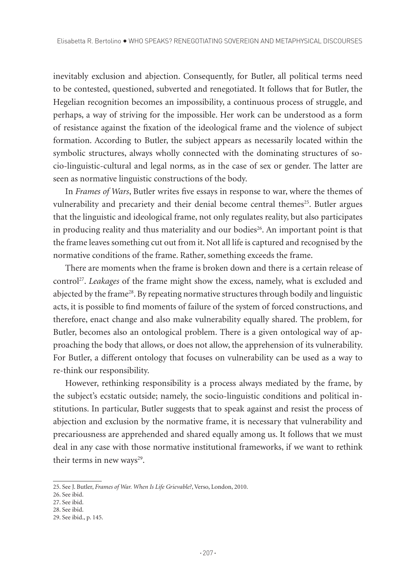inevitably exclusion and abjection. Consequently, for Butler, all political terms need to be contested, questioned, subverted and renegotiated. It follows that for Butler, the Hegelian recognition becomes an impossibility, a continuous process of struggle, and perhaps, a way of striving for the impossible. Her work can be understood as a form of resistance against the fixation of the ideological frame and the violence of subject formation. According to Butler, the subject appears as necessarily located within the symbolic structures, always wholly connected with the dominating structures of socio-linguistic-cultural and legal norms, as in the case of sex or gender. The latter are seen as normative linguistic constructions of the body.

In *Frames of Wars*, Butler writes five essays in response to war, where the themes of vulnerability and precariety and their denial become central themes<sup>25</sup>. Butler argues that the linguistic and ideological frame, not only regulates reality, but also participates in producing reality and thus materiality and our bodies $26$ . An important point is that the frame leaves something cut out from it. Not all life is captured and recognised by the normative conditions of the frame. Rather, something exceeds the frame.

There are moments when the frame is broken down and there is a certain release of control<sup>27</sup>. *Leakages* of the frame might show the excess, namely, what is excluded and abjected by the frame28. By repeating normative structures through bodily and linguistic acts, it is possible to find moments of failure of the system of forced constructions, and therefore, enact change and also make vulnerability equally shared. The problem, for Butler, becomes also an ontological problem. There is a given ontological way of approaching the body that allows, or does not allow, the apprehension of its vulnerability. For Butler, a different ontology that focuses on vulnerability can be used as a way to re-think our responsibility.

However, rethinking responsibility is a process always mediated by the frame, by the subject's ecstatic outside; namely, the socio-linguistic conditions and political institutions. In particular, Butler suggests that to speak against and resist the process of abjection and exclusion by the normative frame, it is necessary that vulnerability and precariousness are apprehended and shared equally among us. It follows that we must deal in any case with those normative institutional frameworks, if we want to rethink their terms in new ways $29$ .

<sup>25.</sup> See J. Butler, *Frames of War. When Is Life Grievable?*, Verso, London, 2010.

<sup>26.</sup> See ibid.

<sup>27.</sup> See ibid.

<sup>28.</sup> See ibid.

<sup>29.</sup> See ibid., p. 145.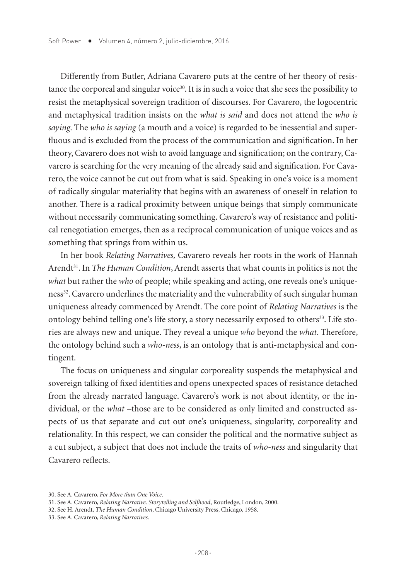Differently from Butler, Adriana Cavarero puts at the centre of her theory of resistance the corporeal and singular voice<sup>30</sup>. It is in such a voice that she sees the possibility to resist the metaphysical sovereign tradition of discourses. For Cavarero, the logocentric and metaphysical tradition insists on the *what is said* and does not attend the *who is saying*. The *who is saying* (a mouth and a voice) is regarded to be inessential and superfluous and is excluded from the process of the communication and signification. In her theory, Cavarero does not wish to avoid language and signification; on the contrary, Cavarero is searching for the very meaning of the already said and signification. For Cavarero, the voice cannot be cut out from what is said. Speaking in one's voice is a moment of radically singular materiality that begins with an awareness of oneself in relation to another. There is a radical proximity between unique beings that simply communicate without necessarily communicating something. Cavarero's way of resistance and political renegotiation emerges, then as a reciprocal communication of unique voices and as something that springs from within us.

In her book *Relating Narratives,* Cavarero reveals her roots in the work of Hannah Arendt<sup>31</sup>. In *The Human Condition*, Arendt asserts that what counts in politics is not the *what* but rather the *who* of people; while speaking and acting, one reveals one's uniqueness32. Cavarero underlines the materiality and the vulnerability of such singular human uniqueness already commenced by Arendt. The core point of *Relating Narratives* is the ontology behind telling one's life story, a story necessarily exposed to others<sup>33</sup>. Life stories are always new and unique. They reveal a unique *who* beyond the *what*. Therefore, the ontology behind such a *who-ness*, is an ontology that is anti-metaphysical and contingent.

The focus on uniqueness and singular corporeality suspends the metaphysical and sovereign talking of fixed identities and opens unexpected spaces of resistance detached from the already narrated language. Cavarero's work is not about identity, or the individual, or the *what* –those are to be considered as only limited and constructed aspects of us that separate and cut out one's uniqueness, singularity, corporeality and relationality. In this respect, we can consider the political and the normative subject as a cut subject, a subject that does not include the traits of *who-ness* and singularity that Cavarero reflects.

<sup>30.</sup> See A. Cavarero, *For More than One Voice*.

<sup>31.</sup> See A. Cavarero, *Relating Narrative. Storytelling and Selfhood*, Routledge, London, 2000.

<sup>32.</sup> See H. Arendt, *The Human Condition*, Chicago University Press, Chicago, 1958.

<sup>33.</sup> See A. Cavarero, *Relating Narratives*.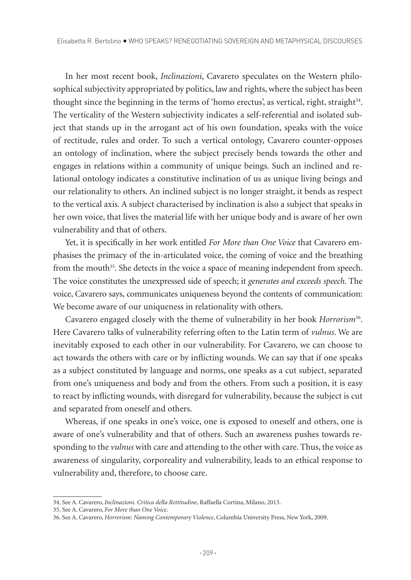In her most recent book, *Inclinazioni*, Cavarero speculates on the Western philosophical subjectivity appropriated by politics, law and rights, where the subject has been thought since the beginning in the terms of 'homo erectus', as vertical, right, straight<sup>34</sup>. The verticality of the Western subjectivity indicates a self-referential and isolated subject that stands up in the arrogant act of his own foundation, speaks with the voice of rectitude, rules and order. To such a vertical ontology, Cavarero counter-opposes an ontology of inclination, where the subject precisely bends towards the other and engages in relations within a community of unique beings. Such an inclined and relational ontology indicates a constitutive inclination of us as unique living beings and our relationality to others. An inclined subject is no longer straight, it bends as respect to the vertical axis. A subject characterised by inclination is also a subject that speaks in her own voice, that lives the material life with her unique body and is aware of her own vulnerability and that of others.

Yet, it is specifically in her work entitled *For More than One Voice* that Cavarero emphasises the primacy of the in-articulated voice, the coming of voice and the breathing from the mouth<sup>35</sup>. She detects in the voice a space of meaning independent from speech. The voice constitutes the unexpressed side of speech; it *generates and exceeds speech*. The voice, Cavarero says, communicates uniqueness beyond the contents of communication: We become aware of our uniqueness in relationality with others.

Cavarero engaged closely with the theme of vulnerability in her book *Horrorism*36. Here Cavarero talks of vulnerability referring often to the Latin term of *vulnus*. We are inevitably exposed to each other in our vulnerability. For Cavarero, we can choose to act towards the others with care or by inflicting wounds. We can say that if one speaks as a subject constituted by language and norms, one speaks as a cut subject, separated from one's uniqueness and body and from the others. From such a position, it is easy to react by inflicting wounds, with disregard for vulnerability, because the subject is cut and separated from oneself and others.

Whereas, if one speaks in one's voice, one is exposed to oneself and others, one is aware of one's vulnerability and that of others. Such an awareness pushes towards responding to the *vulnus* with care and attending to the other with care. Thus, the voice as awareness of singularity, corporeality and vulnerability, leads to an ethical response to vulnerability and, therefore, to choose care.

<sup>34.</sup> See A. Cavarero, *Inclinazioni. Critica della Rettitudine*, Raffaella Cortina, Milano, 2013.

<sup>35.</sup> See A. Cavarero, *For More than One Voice*.

<sup>36.</sup> See A. Cavarero, *Horrorism: Naming Contemporary Violence*, Columbia University Press, New York, 2009.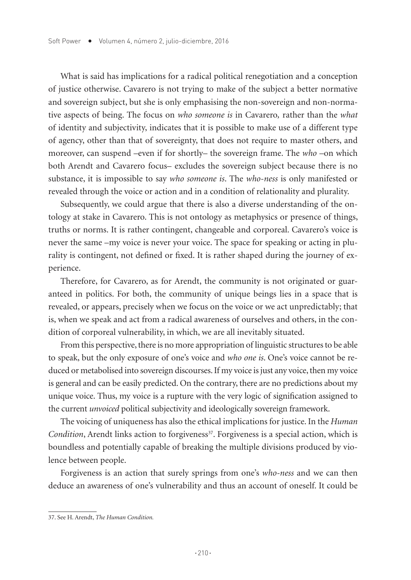What is said has implications for a radical political renegotiation and a conception of justice otherwise. Cavarero is not trying to make of the subject a better normative and sovereign subject, but she is only emphasising the non-sovereign and non-normative aspects of being. The focus on *who someone is* in Cavarero*,* rather than the *what*  of identity and subjectivity, indicates that it is possible to make use of a different type of agency, other than that of sovereignty, that does not require to master others, and moreover, can suspend –even if for shortly– the sovereign frame. The *who* –on which both Arendt and Cavarero focus– excludes the sovereign subject because there is no substance, it is impossible to say *who someone is*. The *who-ness* is only manifested or revealed through the voice or action and in a condition of relationality and plurality.

Subsequently, we could argue that there is also a diverse understanding of the ontology at stake in Cavarero. This is not ontology as metaphysics or presence of things, truths or norms. It is rather contingent, changeable and corporeal. Cavarero's voice is never the same –my voice is never your voice. The space for speaking or acting in plurality is contingent, not defined or fixed. It is rather shaped during the journey of experience.

Therefore, for Cavarero, as for Arendt, the community is not originated or guaranteed in politics. For both, the community of unique beings lies in a space that is revealed, or appears, precisely when we focus on the voice or we act unpredictably; that is, when we speak and act from a radical awareness of ourselves and others, in the condition of corporeal vulnerability, in which, we are all inevitably situated.

From this perspective, there is no more appropriation of linguistic structures to be able to speak, but the only exposure of one's voice and *who one is*. One's voice cannot be reduced or metabolised into sovereign discourses. If my voice is just any voice, then my voice is general and can be easily predicted. On the contrary, there are no predictions about my unique voice. Thus, my voice is a rupture with the very logic of signification assigned to the current *unvoiced* political subjectivity and ideologically sovereign framework.

The voicing of uniqueness has also the ethical implications for justice. In the *Human Condition*, Arendt links action to forgiveness<sup>37</sup>. Forgiveness is a special action, which is boundless and potentially capable of breaking the multiple divisions produced by violence between people.

Forgiveness is an action that surely springs from one's *who-ness* and we can then deduce an awareness of one's vulnerability and thus an account of oneself. It could be

<sup>37.</sup> See H. Arendt, *The Human Condition.*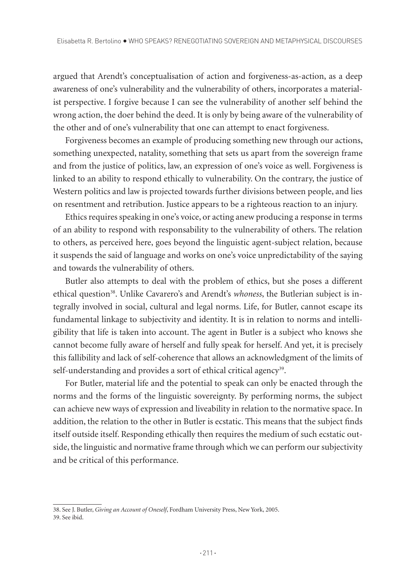argued that Arendt's conceptualisation of action and forgiveness-as-action, as a deep awareness of one's vulnerability and the vulnerability of others, incorporates a materialist perspective. I forgive because I can see the vulnerability of another self behind the wrong action, the doer behind the deed. It is only by being aware of the vulnerability of the other and of one's vulnerability that one can attempt to enact forgiveness.

Forgiveness becomes an example of producing something new through our actions, something unexpected, natality, something that sets us apart from the sovereign frame and from the justice of politics, law, an expression of one's voice as well. Forgiveness is linked to an ability to respond ethically to vulnerability. On the contrary, the justice of Western politics and law is projected towards further divisions between people, and lies on resentment and retribution. Justice appears to be a righteous reaction to an injury.

Ethics requires speaking in one's voice, or acting anew producing a response in terms of an ability to respond with responsability to the vulnerability of others. The relation to others, as perceived here, goes beyond the linguistic agent-subject relation, because it suspends the said of language and works on one's voice unpredictability of the saying and towards the vulnerability of others.

Butler also attempts to deal with the problem of ethics, but she poses a different ethical question<sup>38</sup>. Unlike Cavarero's and Arendt's *whoness*, the Butlerian subject is integrally involved in social, cultural and legal norms. Life, for Butler, cannot escape its fundamental linkage to subjectivity and identity. It is in relation to norms and intelligibility that life is taken into account. The agent in Butler is a subject who knows she cannot become fully aware of herself and fully speak for herself. And yet, it is precisely this fallibility and lack of self-coherence that allows an acknowledgment of the limits of self-understanding and provides a sort of ethical critical agency<sup>39</sup>.

For Butler, material life and the potential to speak can only be enacted through the norms and the forms of the linguistic sovereignty. By performing norms, the subject can achieve new ways of expression and liveability in relation to the normative space. In addition, the relation to the other in Butler is ecstatic. This means that the subject finds itself outside itself. Responding ethically then requires the medium of such ecstatic outside, the linguistic and normative frame through which we can perform our subjectivity and be critical of this performance.

<sup>38.</sup> See J. Butler, *Giving an Account of Oneself*, Fordham University Press, New York, 2005. 39. See ibid.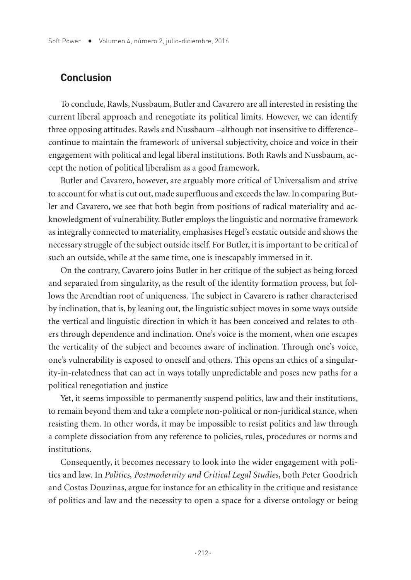### **Conclusion**

To conclude, Rawls, Nussbaum, Butler and Cavarero are all interested in resisting the current liberal approach and renegotiate its political limits. However, we can identify three opposing attitudes. Rawls and Nussbaum –although not insensitive to difference– continue to maintain the framework of universal subjectivity, choice and voice in their engagement with political and legal liberal institutions. Both Rawls and Nussbaum, accept the notion of political liberalism as a good framework.

Butler and Cavarero, however, are arguably more critical of Universalism and strive to account for what is cut out, made superfluous and exceeds the law. In comparing Butler and Cavarero, we see that both begin from positions of radical materiality and acknowledgment of vulnerability. Butler employs the linguistic and normative framework as integrally connected to materiality, emphasises Hegel's ecstatic outside and shows the necessary struggle of the subject outside itself. For Butler, it is important to be critical of such an outside, while at the same time, one is inescapably immersed in it.

On the contrary, Cavarero joins Butler in her critique of the subject as being forced and separated from singularity, as the result of the identity formation process, but follows the Arendtian root of uniqueness. The subject in Cavarero is rather characterised by inclination, that is, by leaning out, the linguistic subject moves in some ways outside the vertical and linguistic direction in which it has been conceived and relates to others through dependence and inclination. One's voice is the moment, when one escapes the verticality of the subject and becomes aware of inclination. Through one's voice, one's vulnerability is exposed to oneself and others. This opens an ethics of a singularity-in-relatedness that can act in ways totally unpredictable and poses new paths for a political renegotiation and justice

Yet, it seems impossible to permanently suspend politics, law and their institutions, to remain beyond them and take a complete non-political or non-juridical stance, when resisting them. In other words, it may be impossible to resist politics and law through a complete dissociation from any reference to policies, rules, procedures or norms and institutions.

Consequently, it becomes necessary to look into the wider engagement with politics and law. In *Politics, Postmodernity and Critical Legal Studies*, both Peter Goodrich and Costas Douzinas, argue for instance for an ethicality in the critique and resistance of politics and law and the necessity to open a space for a diverse ontology or being